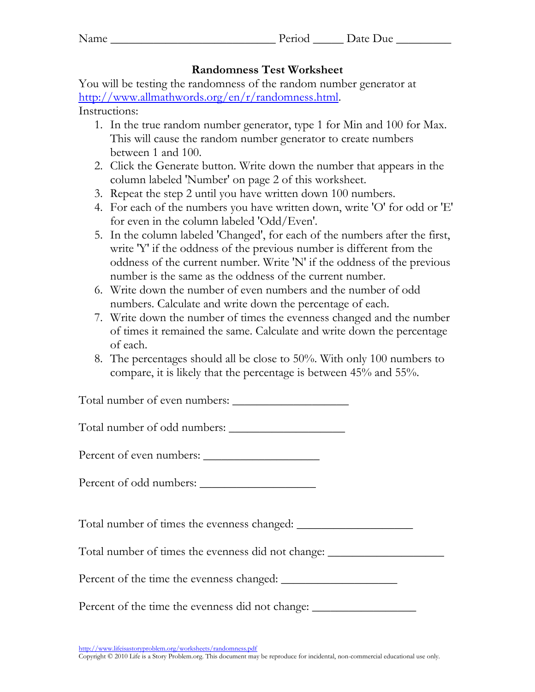| Name | ം വ | Jate<br>Due |
|------|-----|-------------|
|      |     |             |

## **Randomness Test Worksheet**

You will be testing the randomness of the random number generator at http://www.allmathwords.org/en/r/randomness.html. Instructions:

- 1. In the true random number generator, type 1 for Min and 100 for Max. This will cause the random number generator to create numbers between 1 and 100.
- 2. Click the Generate button. Write down the number that appears in the column labeled 'Number' on page 2 of this worksheet.
- 3. Repeat the step 2 until you have written down 100 numbers.
- 4. For each of the numbers you have written down, write 'O' for odd or 'E' for even in the column labeled 'Odd/Even'.
- 5. In the column labeled 'Changed', for each of the numbers after the first, write 'Y' if the oddness of the previous number is different from the oddness of the current number. Write 'N' if the oddness of the previous number is the same as the oddness of the current number.
- 6. Write down the number of even numbers and the number of odd numbers. Calculate and write down the percentage of each.
- 7. Write down the number of times the evenness changed and the number of times it remained the same. Calculate and write down the percentage of each.
- 8. The percentages should all be close to 50%. With only 100 numbers to compare, it is likely that the percentage is between 45% and 55%.

Total number of even numbers: \_\_\_\_\_\_\_\_\_\_\_\_\_\_\_\_\_\_\_

Total number of odd numbers: \_\_\_\_\_\_\_\_\_\_\_\_\_\_\_\_\_\_\_

| Percent of even numbers: |  |
|--------------------------|--|
|--------------------------|--|

Percent of odd numbers: \_\_\_\_\_\_\_\_\_\_\_\_\_\_\_\_\_\_\_

Total number of times the evenness changed: \_\_\_\_\_\_\_\_\_\_\_\_\_\_\_\_\_\_\_

Total number of times the evenness did not change: \_\_\_\_\_\_\_\_\_\_\_\_\_\_\_\_\_\_\_\_\_\_\_\_\_\_\_\_\_

Percent of the time the evenness changed: \_\_\_\_\_\_\_\_\_\_\_\_\_\_\_\_\_\_\_

Percent of the time the evenness did not change: \_\_\_\_\_\_\_\_\_\_\_\_\_\_\_\_\_\_\_\_\_\_\_\_\_\_\_\_\_\_\_

<http://www.lifeisastoryproblem.org/worksheets/randomness.pdf>